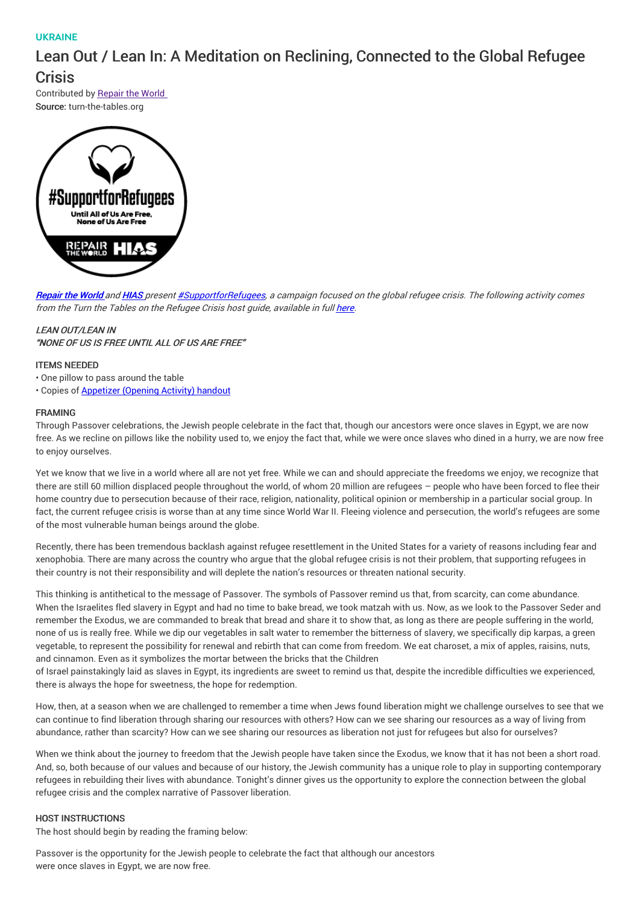## UKRAINE

# Lean Out / Lean In: A Meditation on Reclining, Connected to the Global Refugee

**Crisis** 

Contributed by Repair the World Source: turn-the-tables.org



[Repair](http://werepair.org) the World and [HIAS](http://hias.org) present [#SupportforRefugees](http://werepair.org/passover), a campaign focused on the global refugee crisis. The following activity comes from the Turn the Tables on the Refugee Crisis host guide, available in full [here](http://turn-the-tables.org/host-a-dinner).

## **LEAN OUT/LEAN IN**

"NONE OF US IS FREE UNTIL ALL OF US ARE FREE"

## ITEMS NEEDED

• One pillow to pass around the table

• Copies of [Appetizer](https://drive.google.com/file/d/0B27Td-eEAZbrSHBOT25XTVNHSmM/view?usp=sharing&resourcekey=0-1gWCU1ud7shtU1Ed6lHILg) (Opening Activity) handout

#### FRAMING

Through Passover celebrations, the Jewish people celebrate in the fact that, though our ancestors were once slaves in Egypt, we are now free. As we recline on pillows like the nobility used to, we enjoy the fact that, while we were once slaves who dined in a hurry, we are now free to enjoy ourselves.

Yet we know that we live in a world where all are not yet free. While we can and should appreciate the freedoms we enjoy, we recognize that there are still 60 million displaced people throughout the world, of whom 20 million are refugees – people who have been forced to flee their home country due to persecution because of their race, religion, nationality, political opinion or membership in a particular social group. In fact, the current refugee crisis is worse than at any time since World War II. Fleeing violence and persecution, the world's refugees are some of the most vulnerable human beings around the globe.

Recently, there has been tremendous backlash against refugee resettlement in the United States for a variety of reasons including fear and xenophobia. There are many across the country who argue that the global refugee crisis is not their problem, that supporting refugees in their country is not their responsibility and will deplete the nation's resources or threaten national security.

This thinking is antithetical to the message of Passover. The symbols of Passover remind us that, from scarcity, can come abundance. When the Israelites fled slavery in Egypt and had no time to bake bread, we took matzah with us. Now, as we look to the Passover Seder and remember the Exodus, we are commanded to break that bread and share it to show that, as long as there are people suffering in the world, none of us is really free. While we dip our vegetables in salt water to remember the bitterness of slavery, we specifically dip karpas, a green vegetable, to represent the possibility for renewal and rebirth that can come from freedom. We eat charoset, a mix of apples, raisins, nuts, and cinnamon. Even as it symbolizes the mortar between the bricks that the Children

of Israel painstakingly laid as slaves in Egypt, its ingredients are sweet to remind us that, despite the incredible difficulties we experienced, there is always the hope for sweetness, the hope for redemption.

How, then, at a season when we are challenged to remember a time when Jews found liberation might we challenge ourselves to see that we can continue to find liberation through sharing our resources with others? How can we see sharing our resources as a way of living from abundance, rather than scarcity? How can we see sharing our resources as liberation not just for refugees but also for ourselves?

When we think about the journey to freedom that the Jewish people have taken since the Exodus, we know that it has not been a short road. And, so, both because of our values and because of our history, the Jewish community has a unique role to play in supporting contemporary refugees in rebuilding their lives with abundance. Tonight's dinner gives us the opportunity to explore the connection between the global refugee crisis and the complex narrative of Passover liberation.

#### HOST INSTRUCTIONS

The host should begin by reading the framing below:

Passover is the opportunity for the Jewish people to celebrate the fact that although our ancestors were once slaves in Egypt, we are now free.